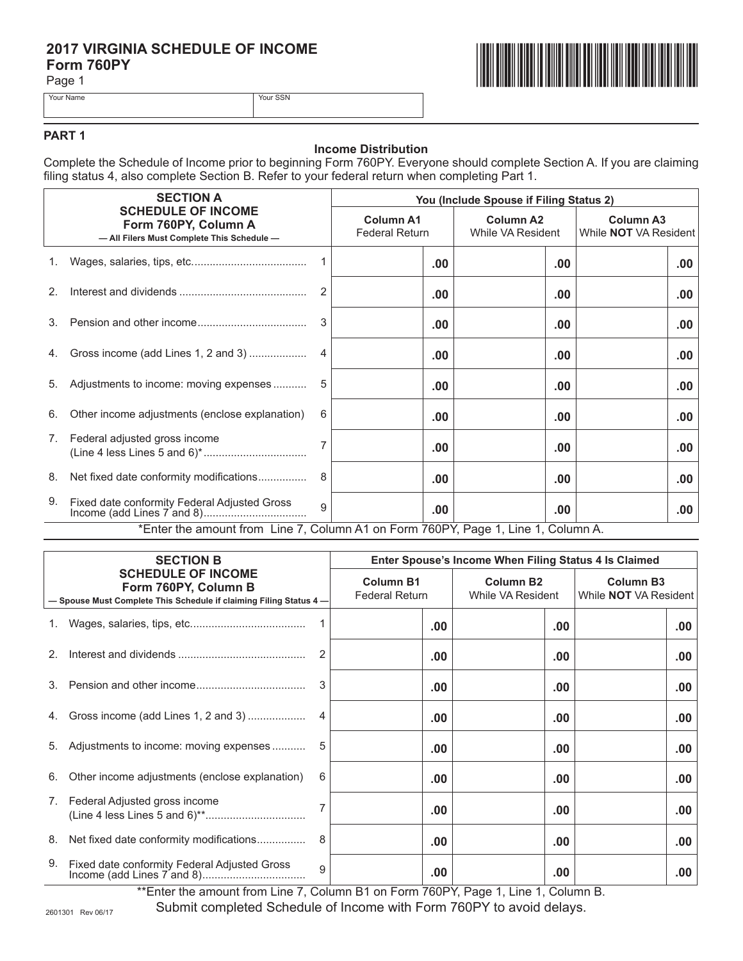# **2017 VIRGINIA SCHEDULE OF INCOME<br>Form 760PY<br>Page 1 Form 760PY**

Page 1









### **PART 1**

#### **Income Distribution**

Complete the Schedule of Income prior to beginning Form 760PY. Everyone should complete Section A. If you are claiming filing status 4, also complete Section B. Refer to your federal return when completing Part 1.

|                | <b>SECTION A</b><br><b>SCHEDULE OF INCOME</b><br>Form 760PY, Column A<br>- All Filers Must Complete This Schedule- |              | You (Include Spouse if Filing Status 2)   |          |                                       |                                                  |  |
|----------------|--------------------------------------------------------------------------------------------------------------------|--------------|-------------------------------------------|----------|---------------------------------------|--------------------------------------------------|--|
|                |                                                                                                                    |              | <b>Column A1</b><br><b>Federal Return</b> |          | <b>Column A2</b><br>While VA Resident | <b>Column A3</b><br>While <b>NOT</b> VA Resident |  |
|                |                                                                                                                    |              |                                           | .00.     | $.00 \,$                              | .00.                                             |  |
| 2 <sup>2</sup> |                                                                                                                    | 2            |                                           | .00      | .00                                   | .00.                                             |  |
| 3.             |                                                                                                                    | 3            |                                           | .00      | .00                                   | .00.                                             |  |
| 4.             | Gross income (add Lines 1, 2 and 3)                                                                                | 4            |                                           | .00      | .00                                   | .00.                                             |  |
| 5.             | Adjustments to income: moving expenses                                                                             | 5            |                                           | .00      | .00                                   | .00.                                             |  |
| 6.             | Other income adjustments (enclose explanation)                                                                     | 6            |                                           | .00.     | $.00 \,$                              | .00.                                             |  |
| 7.             | Federal adjusted gross income                                                                                      |              |                                           | .00      | $.00 \,$                              | .00.                                             |  |
| 8.             | Net fixed date conformity modifications                                                                            | 8            |                                           | .00      | .00                                   | .00.                                             |  |
| 9.             | Fixed date conformity Federal Adjusted Gross                                                                       | $\mathbf{Q}$ |                                           | $.00 \,$ | $.00 \,$                              | .00                                              |  |
|                | *Enter the amount from Line 7, Column A1 on Form 760PY, Page 1, Line 1, Column A.                                  |              |                                           |          |                                       |                                                  |  |

| <b>SECTION B</b><br><b>SCHEDULE OF INCOME</b><br>Form 760PY, Column B<br>- Spouse Must Complete This Schedule if claiming Filing Status 4- |                                                | Enter Spouse's Income When Filing Status 4 Is Claimed |                                       |                                                  |     |  |
|--------------------------------------------------------------------------------------------------------------------------------------------|------------------------------------------------|-------------------------------------------------------|---------------------------------------|--------------------------------------------------|-----|--|
|                                                                                                                                            |                                                | <b>Column B1</b><br><b>Federal Return</b>             | <b>Column B2</b><br>While VA Resident | <b>Column B3</b><br>While <b>NOT</b> VA Resident |     |  |
|                                                                                                                                            |                                                |                                                       | .00.                                  | .00.                                             | .00 |  |
| 2 <sup>2</sup>                                                                                                                             |                                                |                                                       | .00                                   | .00.                                             | .00 |  |
|                                                                                                                                            |                                                | 3                                                     | .00.                                  | .00.                                             | .00 |  |
| 4.                                                                                                                                         | Gross income (add Lines 1, 2 and 3)            |                                                       | .00.                                  | .00.                                             | .00 |  |
| 5.                                                                                                                                         | Adjustments to income: moving expenses         | 5                                                     | .00.                                  | .00                                              | .00 |  |
| 6.                                                                                                                                         | Other income adjustments (enclose explanation) | 6                                                     | .00.                                  | .00.                                             | .00 |  |
| 7.                                                                                                                                         | Federal Adjusted gross income                  |                                                       | .00.                                  | .00                                              | .00 |  |
| 8.                                                                                                                                         |                                                | 8                                                     | .00.                                  | .00.                                             | .00 |  |
| 9.                                                                                                                                         | Fixed date conformity Federal Adjusted Gross   | 9                                                     | .00                                   | .00                                              | .00 |  |

\*\*Enter the amount from Line 7, Column B1 on Form 760PY, Page 1, Line 1, Column B.

Submit completed Schedule of Income with Form 760PY to avoid delays.